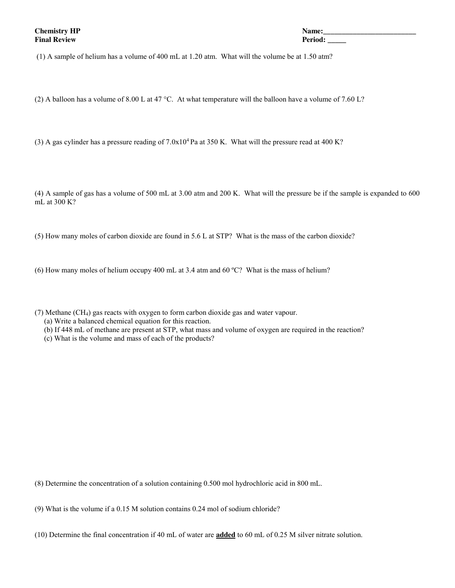(1) A sample of helium has a volume of 400 mL at 1.20 atm. What will the volume be at 1.50 atm?

(2) A balloon has a volume of 8.00 L at 47 °C. At what temperature will the balloon have a volume of 7.60 L?

(3) A gas cylinder has a pressure reading of  $7.0x10^4$  Pa at 350 K. What will the pressure read at 400 K?

(4) A sample of gas has a volume of 500 mL at 3.00 atm and 200 K. What will the pressure be if the sample is expanded to 600 mL at 300 K?

(5) How many moles of carbon dioxide are found in 5.6 L at STP? What is the mass of the carbon dioxide?

(6) How many moles of helium occupy 400 mL at 3.4 atm and 60 ºC? What is the mass of helium?

- (7) Methane (CH4) gas reacts with oxygen to form carbon dioxide gas and water vapour.
	- (a) Write a balanced chemical equation for this reaction.
	- (b) If 448 mL of methane are present at STP, what mass and volume of oxygen are required in the reaction?
	- (c) What is the volume and mass of each of the products?

(8) Determine the concentration of a solution containing 0.500 mol hydrochloric acid in 800 mL.

(9) What is the volume if a 0.15 M solution contains 0.24 mol of sodium chloride?

(10) Determine the final concentration if 40 mL of water are **added** to 60 mL of 0.25 M silver nitrate solution.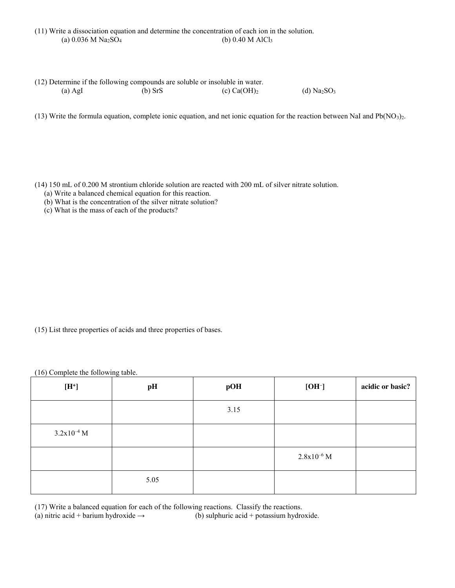|                                               | (11) Write a dissociation equation and determine the concentration of each ion in the solution. |
|-----------------------------------------------|-------------------------------------------------------------------------------------------------|
| (a) $0.036$ M Na <sub>2</sub> SO <sub>4</sub> | (b) 0.40 M AlCl <sub>3</sub>                                                                    |

| (12) Determine if the following compounds are soluble or insoluble in water. |           |                |              |
|------------------------------------------------------------------------------|-----------|----------------|--------------|
| $(a)$ AgI                                                                    | $(b)$ SrS | (c) $Ca(OH)_2$ | (d) $Na2SO3$ |

(13) Write the formula equation, complete ionic equation, and net ionic equation for the reaction between NaI and  $Pb(NO<sub>3</sub>)<sub>2</sub>$ .

(14) 150 mL of 0.200 M strontium chloride solution are reacted with 200 mL of silver nitrate solution.

- (a) Write a balanced chemical equation for this reaction.
- (b) What is the concentration of the silver nitrate solution?
- (c) What is the mass of each of the products?

(15) List three properties of acids and three properties of bases.

(16) Complete the following table.

| $[{\rm H}^{\ast}]$ | pH   | pOH  | $[OH^-]$        | acidic or basic? |
|--------------------|------|------|-----------------|------------------|
|                    |      | 3.15 |                 |                  |
| $3.2x10^{-4}$ M    |      |      |                 |                  |
|                    |      |      | $2.8x10^{-6}$ M |                  |
|                    | 5.05 |      |                 |                  |

(17) Write a balanced equation for each of the following reactions. Classify the reactions.

(a) nitric acid + barium hydroxide  $\rightarrow$  (b) sulphuric acid + potassium hydroxide.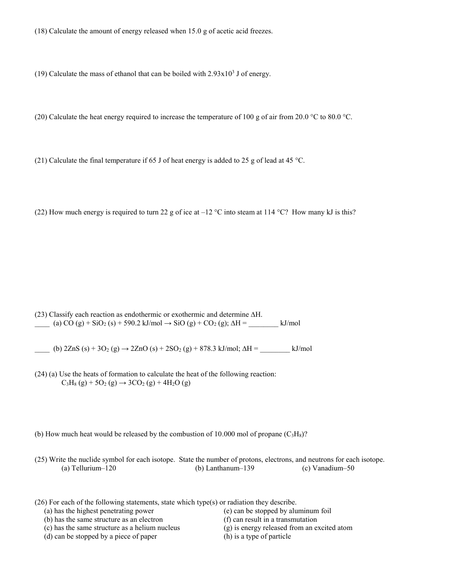(18) Calculate the amount of energy released when 15.0 g of acetic acid freezes.

(19) Calculate the mass of ethanol that can be boiled with  $2.93 \times 10^3$  J of energy.

(20) Calculate the heat energy required to increase the temperature of 100 g of air from 20.0 °C to 80.0 °C.

(21) Calculate the final temperature if 65 J of heat energy is added to 25 g of lead at 45 °C.

(22) How much energy is required to turn 22 g of ice at  $-12$  °C into steam at 114 °C? How many kJ is this?

(23) Classify each reaction as endothermic or exothermic and determine ∆H.  $\frac{\text{(a) CO (g)} + \text{SiO}_2 \text{(s)} + \text{590.2 kJ/mol} \rightarrow \text{SiO (g)} + \text{CO}_2 \text{(g)}$ ;  $\Delta H = \text{kJ/mol}$ 

 $\angle$  (b) 2ZnS (s) + 3O<sub>2</sub> (g) → 2ZnO (s) + 2SO<sub>2</sub> (g) + 878.3 kJ/mol;  $\triangle H =$  kJ/mol

- (24) (a) Use the heats of formation to calculate the heat of the following reaction:  $C_3H_8(g) + 5O_2(g) \rightarrow 3CO_2(g) + 4H_2O(g)$
- (b) How much heat would be released by the combustion of 10.000 mol of propane  $(C_3H_8)$ ?

(25) Write the nuclide symbol for each isotope. State the number of protons, electrons, and neutrons for each isotope. (a) Tellurium–120 (b) Lanthanum–139 (c) Vanadium–50

(26) For each of the following statements, state which type(s) or radiation they describe.

- (a) has the highest penetrating power
- (b) has the same structure as an electron
- (c) has the same structure as a helium nucleus
- (d) can be stopped by a piece of paper
- (e) can be stopped by aluminum foil
- (f) can result in a transmutation
- (g) is energy released from an excited atom
- (h) is a type of particle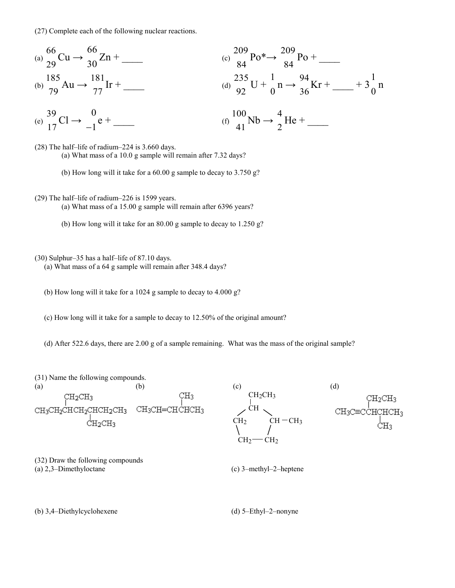(27) Complete each of the following nuclear reactions.

(a) 
$$
\frac{66}{29}\text{Cu} \rightarrow \frac{66}{30}\text{Zn} + \frac{181}{30}\text{Zn} + \frac{181}{84}\text{Po} + \frac{209}{84}\text{Po} + \frac{209}{84}\text{Po} + \frac{209}{84}\text{Po} + \frac{209}{84}\text{Po} + \frac{209}{84}\text{Kr} + \frac{185}{77}\text{Ir} + \frac{181}{77}\text{Ir} + \frac{235}{92}\text{U} + \frac{1}{0}\text{n} \rightarrow \frac{94}{36}\text{Kr} + \frac{1}{10}\text{Nb} + \frac{1}{3}\text{Rb} + \frac{100}{10}\text{Nb} \rightarrow \frac{4}{2}\text{He} + \frac{1}{10}\text{Nb} + \frac{1}{2}\text{Ne} + \frac{1}{10}\text{Nb} + \frac{1}{2}\text{Ne} + \frac{1}{10}\text{Nb} + \frac{1}{2}\text{Ne} + \frac{1}{10}\text{Nb} + \frac{1}{2}\text{Ne} + \frac{1}{10}\text{Nb} + \frac{1}{2}\text{Ne} + \frac{1}{10}\text{Nb} + \frac{1}{2}\text{Ne} + \frac{1}{10}\text{Nb} + \frac{1}{2}\text{Ne} + \frac{1}{10}\text{Nb} + \frac{1}{2}\text{Ne} + \frac{1}{10}\text{Nb} + \frac{1}{2}\text{Ne} + \frac{1}{10}\text{Nb} + \frac{1}{2}\text{Ne} + \frac{1}{10}\text{Nb} + \frac{1}{10}\text{Nb} + \frac{1}{10}\text{Ne} + \frac{1}{10}\text{Nb} + \frac{1}{10}\text{Ne} + \frac{1}{10}\text{Nb} + \frac{1}{10}\text{Ne} + \frac{1}{10}\text{Nb} + \frac{1}{10}\text{Ne} + \frac{1}{10}\text{Nb} + \frac{1}{10}\text{Ne} + \frac{1}{10}\text{Nb} + \frac{1}{10}\text{Ne} + \frac{1}{10}\text{Nb} + \frac{1}{10}\text{Ne} + \frac{1}{10}\text{Nb} + \frac{1}{10}\text{Ne} + \frac{1}{10
$$

41

2

(28) The half–life of radium–224 is 3.660 days.

1

(e)

17

(a) What mass of a 10.0 g sample will remain after 7.32 days?

(b) How long will it take for a 60.00 g sample to decay to 3.750 g?

(29) The half–life of radium–226 is 1599 years.

(a) What mass of a 15.00 g sample will remain after 6396 years?

(b) How long will it take for an 80.00 g sample to decay to 1.250 g?

(30) Sulphur–35 has a half–life of 87.10 days.

(a) What mass of a 64 g sample will remain after 348.4 days?

(b) How long will it take for a 1024 g sample to decay to 4.000 g?

(c) How long will it take for a sample to decay to 12.50% of the original amount?

(d) After 522.6 days, there are 2.00 g of a sample remaining. What was the mass of the original sample?

(31) Name the following compounds.

(a)  $(b)$  (c)  $CH<sub>3</sub>$ CH2CH3 CH<sub>3</sub>CH=CHCHCH<sub>3</sub> CH3CH2CHCH2CHCH2CH3

(d) CH<sub>2</sub>CH<sub>3</sub> CH  $CH_3C \equiv C$  $CH<sub>2</sub>$  CH  $-CH<sub>3</sub>$  $CH<sub>2</sub>$   $CH<sub>2</sub>$ 

(32) Draw the following compounds (a) 2,3–Dimethyloctane

(c) 3–methyl–2–heptene

(b) 3,4–Diethylcyclohexene

(d) 5–Ethyl–2–nonyne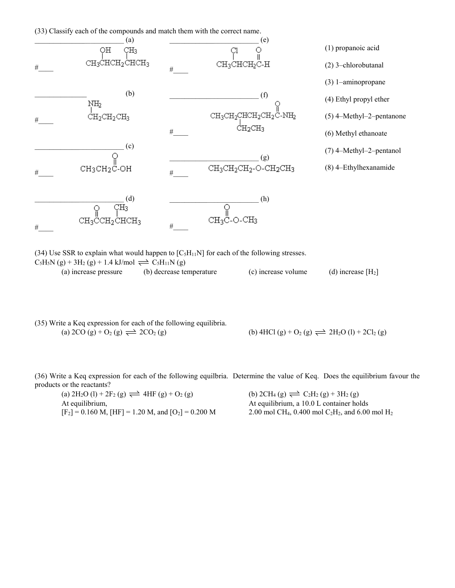



(34) Use SSR to explain what would happen to  $[C_5H_{11}N]$  for each of the following stresses.  $C_5H_5N(g) + 3H_2(g) + 1.4 \text{ kJ/mol} \rightleftharpoons C_5H_{11}N(g)$ (a) increase pressure (b) decrease temperature (c) increase volume (d) increase [H2]

|                                                                            | (35) Write a Keq expression for each of the following equilibria. |
|----------------------------------------------------------------------------|-------------------------------------------------------------------|
| (a) 2CO (g) + O <sub>2</sub> (g) $\rightleftharpoons$ 2CO <sub>2</sub> (g) |                                                                   |

(b) 4HCl (g) + O<sub>2</sub> (g)  $\implies$  2H<sub>2</sub>O (l) + 2Cl<sub>2</sub> (g)

(36) Write a Keq expression for each of the following equilbria. Determine the value of Keq. Does the equilibrium favour the products or the reactants?

(a)  $2H_2O (l) + 2F_2 (g) \rightleftharpoons 4HF (g) + O_2 (g)$  (b)  $2CH_4 (g) \rightleftharpoons C_2H_2 (g) + 3H_2 (g)$ At equilibrium, At equilibrium, a 10.0 L container holds  $[F_2] = 0.160$  M,  $[HF] = 1.20$  M, and  $[O_2] = 0.200$  M 2.00 mol CH<sub>4</sub>, 0.400 mol C<sub>2</sub>H<sub>2</sub>, and 6.00 mol H<sub>2</sub>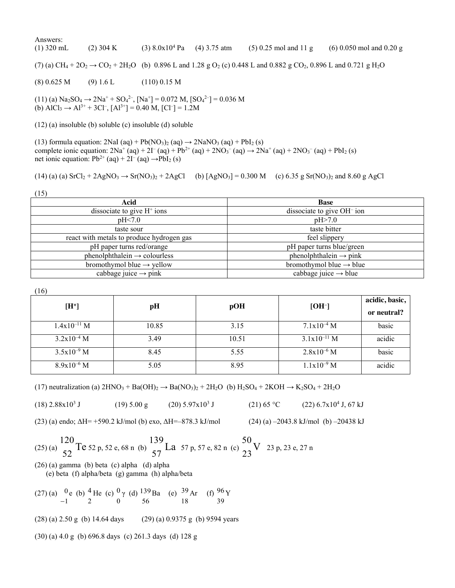## Answers:

(1) 320 mL (2) 304 K (3) 8.0x104 Pa (4) 3.75 atm (5) 0.25 mol and 11 g (6) 0.050 mol and 0.20 g

(7) (a)  $CH_4 + 2O_2 \rightarrow CO_2 + 2H_2O$  (b) 0.896 L and 1.28 g O<sub>2</sub> (c) 0.448 L and 0.882 g CO<sub>2</sub>, 0.896 L and 0.721 g H<sub>2</sub>O

(8) 0.625 M (9) 1.6 L (110) 0.15 M

 $(11)$  (a) Na<sub>2</sub>SO<sub>4</sub>  $\rightarrow$  2Na<sup>+</sup> + SO<sub>4</sub><sup>2-</sup>, [Na<sup>+</sup>] = 0.072 M, [SO<sub>4</sub><sup>2-</sup>] = 0.036 M (b)  $\text{AlCl}_3 \rightarrow \text{Al}^{3+} + 3\text{Cl}^-, [\text{Al}^{3+}] = 0.40 \text{ M}, [\text{Cl}^-] = 1.2 \text{M}$ 

(12) (a) insoluble (b) soluble (c) insoluble (d) soluble

(13) formula equation:  $2\text{NaI (aq)} + \text{Pb}(\text{NO}_3)_2 \text{ (aq)} \rightarrow 2\text{NaNO}_3 \text{ (aq)} + \text{PbI}_2 \text{ (s)}$ complete ionic equation:  $2Na^{+}(aq) + 2I^{-}(aq) + Pb^{2+}(aq) + 2NO_3^{-}(aq) \rightarrow 2Na^{+}(aq) + 2NO_3^{-}(aq) + PbI_2(s)$ net ionic equation:  $Pb^{2+}$  (aq) +  $2I^-(aq) \rightarrow PbI_2$  (s)

$$
(14) (a) (a) SrCl2 + 2AgNO3 \rightarrow Sr(NO3)2 + 2AgCl \t(b) [AgNO3] = 0.300 M \t(c) 6.35 g Sr(NO3)2 and 8.60 g AgCl
$$

(15)

| Acid                                      | <b>Base</b>                            |
|-------------------------------------------|----------------------------------------|
| dissociate to give $H^+$ ions             | dissociate to give OH <sup>-</sup> ion |
| pH<7.0                                    | pH > 7.0                               |
| taste sour                                | taste bitter                           |
| react with metals to produce hydrogen gas | feel slippery                          |
| pH paper turns red/orange                 | pH paper turns blue/green              |
| $phenolphthalein \rightarrow colourless$  | $phenolphthalein \rightarrow pink$     |
| bromothymol blue $\rightarrow$ yellow     | bromothymol blue $\rightarrow$ blue    |
| cabbage juice $\rightarrow$ pink          | cabbage juice $\rightarrow$ blue       |

(16)

| $[H^+]$          | pH    | pOH   | $[OH^-]$         | acidic, basic,<br>or neutral? |
|------------------|-------|-------|------------------|-------------------------------|
| $1.4x10^{-11}$ M | 10.85 | 3.15  | $7.1x10^{-4}$ M  | basic                         |
| $3.2x10^{-4}$ M  | 3.49  | 10.51 | $3.1x10^{-11}$ M | acidic                        |
| $3.5x10^{-9}$ M  | 8.45  | 5.55  | $2.8x10^{-6}$ M  | basic                         |
| $8.9x10^{-6}$ M  | 5.05  | 8.95  | $1.1x10^{-9}$ M  | acidic                        |

(17) neutralization (a)  $2HNO_3 + Ba(OH)_2 \rightarrow Ba(NO_3)_2 + 2H_2O$  (b)  $H_2SO_4 + 2KOH \rightarrow K_2SO_4 + 2H_2O$ 

 $(18)$  2.88x10<sup>3</sup> J (19) 5.00 g (20) 5.97x10<sup>3</sup> J (21) 65 °C (22) 6.7x10<sup>4</sup> J, 67 kJ

(23) (a) endo; ΔH= +590.2 kJ/mol (b) exo, ΔH=–878.3 kJ/mol (24) (a) –2043.8 kJ/mol (b) –20438 kJ

(25) (a) 120 52 Te 52 p, 52 e, 68 n (b) 139 57 La 57 p, 57 e, 82 n (c) 50 23 V 23 p, 23 e, 27 n

(26) (a) gamma (b) beta (c) alpha (d) alpha (e) beta (f) alpha/beta (g) gamma (h) alpha/beta

 $(27)$  (a)  $0$ 1 e (b)  $<sup>4</sup>$ </sup> 2 He (c)  $^0$ 0 γ (d)  $^{139}$ 56 Ba (e)  $39$ 18 Ar (f)  $96$ 39 Y

 $(28)$  (a) 2.50 g (b) 14.64 days (29) (a) 0.9375 g (b) 9594 years

(30) (a) 4.0 g (b) 696.8 days (c) 261.3 days (d) 128 g